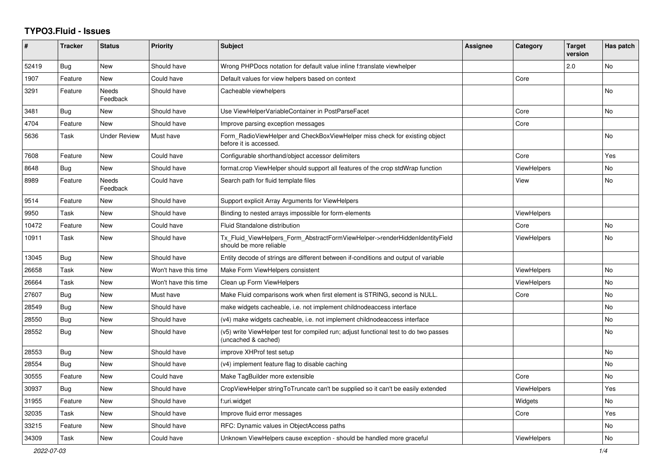## **TYPO3.Fluid - Issues**

| ∦     | <b>Tracker</b> | <b>Status</b>            | <b>Priority</b>      | <b>Subject</b>                                                                                              | Assignee | Category           | <b>Target</b><br>version | Has patch      |
|-------|----------------|--------------------------|----------------------|-------------------------------------------------------------------------------------------------------------|----------|--------------------|--------------------------|----------------|
| 52419 | Bug            | <b>New</b>               | Should have          | Wrong PHPDocs notation for default value inline f:translate viewhelper                                      |          |                    | 2.0                      | N <sub>o</sub> |
| 1907  | Feature        | New                      | Could have           | Default values for view helpers based on context                                                            |          | Core               |                          |                |
| 3291  | Feature        | Needs<br>Feedback        | Should have          | Cacheable viewhelpers                                                                                       |          |                    |                          | No             |
| 3481  | Bug            | <b>New</b>               | Should have          | Use ViewHelperVariableContainer in PostParseFacet                                                           |          | Core               |                          | <b>No</b>      |
| 4704  | Feature        | New                      | Should have          | Improve parsing exception messages                                                                          |          | Core               |                          |                |
| 5636  | Task           | <b>Under Review</b>      | Must have            | Form RadioViewHelper and CheckBoxViewHelper miss check for existing object<br>before it is accessed.        |          |                    |                          | No             |
| 7608  | Feature        | <b>New</b>               | Could have           | Configurable shorthand/object accessor delimiters                                                           |          | Core               |                          | Yes            |
| 8648  | Bug            | New                      | Should have          | format.crop ViewHelper should support all features of the crop stdWrap function                             |          | ViewHelpers        |                          | No             |
| 8989  | Feature        | <b>Needs</b><br>Feedback | Could have           | Search path for fluid template files                                                                        |          | View               |                          | No.            |
| 9514  | Feature        | <b>New</b>               | Should have          | Support explicit Array Arguments for ViewHelpers                                                            |          |                    |                          |                |
| 9950  | Task           | New                      | Should have          | Binding to nested arrays impossible for form-elements                                                       |          | ViewHelpers        |                          |                |
| 10472 | Feature        | New                      | Could have           | Fluid Standalone distribution                                                                               |          | Core               |                          | No             |
| 10911 | Task           | New                      | Should have          | Tx Fluid ViewHelpers Form AbstractFormViewHelper->renderHiddenIdentityField<br>should be more reliable      |          | <b>ViewHelpers</b> |                          | No             |
| 13045 | Bug            | New                      | Should have          | Entity decode of strings are different between if-conditions and output of variable                         |          |                    |                          |                |
| 26658 | Task           | New                      | Won't have this time | Make Form ViewHelpers consistent                                                                            |          | <b>ViewHelpers</b> |                          | No             |
| 26664 | Task           | <b>New</b>               | Won't have this time | Clean up Form ViewHelpers                                                                                   |          | <b>ViewHelpers</b> |                          | No.            |
| 27607 | Bug            | <b>New</b>               | Must have            | Make Fluid comparisons work when first element is STRING, second is NULL.                                   |          | Core               |                          | No             |
| 28549 | <b>Bug</b>     | <b>New</b>               | Should have          | make widgets cacheable, i.e. not implement childnodeaccess interface                                        |          |                    |                          | No             |
| 28550 | Bug            | New                      | Should have          | (v4) make widgets cacheable, i.e. not implement childnodeaccess interface                                   |          |                    |                          | No             |
| 28552 | Bug            | New                      | Should have          | (v5) write ViewHelper test for compiled run; adjust functional test to do two passes<br>(uncached & cached) |          |                    |                          | No             |
| 28553 | Bug            | <b>New</b>               | Should have          | improve XHProf test setup                                                                                   |          |                    |                          | No             |
| 28554 | Bug            | New                      | Should have          | (v4) implement feature flag to disable caching                                                              |          |                    |                          | No             |
| 30555 | Feature        | <b>New</b>               | Could have           | Make TagBuilder more extensible                                                                             |          | Core               |                          | No             |
| 30937 | Bug            | <b>New</b>               | Should have          | CropViewHelper stringToTruncate can't be supplied so it can't be easily extended                            |          | <b>ViewHelpers</b> |                          | Yes            |
| 31955 | Feature        | <b>New</b>               | Should have          | f:uri.widget                                                                                                |          | Widgets            |                          | No.            |
| 32035 | Task           | <b>New</b>               | Should have          | Improve fluid error messages                                                                                |          | Core               |                          | Yes            |
| 33215 | Feature        | New                      | Should have          | RFC: Dynamic values in ObjectAccess paths                                                                   |          |                    |                          | No             |
| 34309 | Task           | New                      | Could have           | Unknown ViewHelpers cause exception - should be handled more graceful                                       |          | <b>ViewHelpers</b> |                          | No             |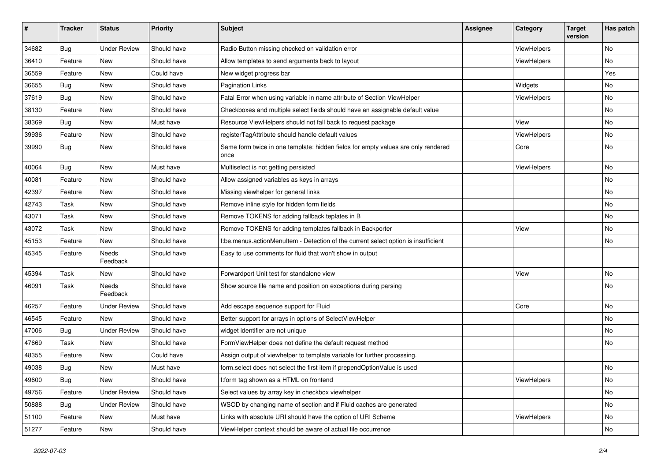| #     | <b>Tracker</b> | <b>Status</b>       | <b>Priority</b> | <b>Subject</b>                                                                            | Assignee | Category    | <b>Target</b><br>version | Has patch |
|-------|----------------|---------------------|-----------------|-------------------------------------------------------------------------------------------|----------|-------------|--------------------------|-----------|
| 34682 | Bug            | <b>Under Review</b> | Should have     | Radio Button missing checked on validation error                                          |          | ViewHelpers |                          | <b>No</b> |
| 36410 | Feature        | New                 | Should have     | Allow templates to send arguments back to layout                                          |          | ViewHelpers |                          | No        |
| 36559 | Feature        | New                 | Could have      | New widget progress bar                                                                   |          |             |                          | Yes       |
| 36655 | Bug            | New                 | Should have     | <b>Pagination Links</b>                                                                   |          | Widgets     |                          | No        |
| 37619 | Bug            | New                 | Should have     | Fatal Error when using variable in name attribute of Section ViewHelper                   |          | ViewHelpers |                          | No        |
| 38130 | Feature        | New                 | Should have     | Checkboxes and multiple select fields should have an assignable default value             |          |             |                          | No        |
| 38369 | Bug            | New                 | Must have       | Resource ViewHelpers should not fall back to request package                              |          | View        |                          | No        |
| 39936 | Feature        | New                 | Should have     | registerTagAttribute should handle default values                                         |          | ViewHelpers |                          | No        |
| 39990 | Bug            | New                 | Should have     | Same form twice in one template: hidden fields for empty values are only rendered<br>once |          | Core        |                          | No        |
| 40064 | Bug            | New                 | Must have       | Multiselect is not getting persisted                                                      |          | ViewHelpers |                          | No        |
| 40081 | Feature        | New                 | Should have     | Allow assigned variables as keys in arrays                                                |          |             |                          | No        |
| 42397 | Feature        | New                 | Should have     | Missing viewhelper for general links                                                      |          |             |                          | No        |
| 42743 | Task           | New                 | Should have     | Remove inline style for hidden form fields                                                |          |             |                          | No        |
| 43071 | Task           | New                 | Should have     | Remove TOKENS for adding fallback teplates in B                                           |          |             |                          | No        |
| 43072 | Task           | New                 | Should have     | Remove TOKENS for adding templates fallback in Backporter                                 |          | View        |                          | No        |
| 45153 | Feature        | New                 | Should have     | f:be.menus.actionMenuItem - Detection of the current select option is insufficient        |          |             |                          | No        |
| 45345 | Feature        | Needs<br>Feedback   | Should have     | Easy to use comments for fluid that won't show in output                                  |          |             |                          |           |
| 45394 | Task           | New                 | Should have     | Forwardport Unit test for standalone view                                                 |          | View        |                          | No        |
| 46091 | Task           | Needs<br>Feedback   | Should have     | Show source file name and position on exceptions during parsing                           |          |             |                          | No        |
| 46257 | Feature        | <b>Under Review</b> | Should have     | Add escape sequence support for Fluid                                                     |          | Core        |                          | No        |
| 46545 | Feature        | New                 | Should have     | Better support for arrays in options of SelectViewHelper                                  |          |             |                          | No        |
| 47006 | Bug            | <b>Under Review</b> | Should have     | widget identifier are not unique                                                          |          |             |                          | No        |
| 47669 | Task           | New                 | Should have     | FormViewHelper does not define the default request method                                 |          |             |                          | No        |
| 48355 | Feature        | New                 | Could have      | Assign output of viewhelper to template variable for further processing.                  |          |             |                          |           |
| 49038 | <b>Bug</b>     | New                 | Must have       | form.select does not select the first item if prependOptionValue is used                  |          |             |                          | No        |
| 49600 | <b>Bug</b>     | New                 | Should have     | f:form tag shown as a HTML on frontend                                                    |          | ViewHelpers |                          | No        |
| 49756 | Feature        | <b>Under Review</b> | Should have     | Select values by array key in checkbox viewhelper                                         |          |             |                          | No        |
| 50888 | Bug            | <b>Under Review</b> | Should have     | WSOD by changing name of section and if Fluid caches are generated                        |          |             |                          | No        |
| 51100 | Feature        | New                 | Must have       | Links with absolute URI should have the option of URI Scheme                              |          | ViewHelpers |                          | No        |
| 51277 | Feature        | New                 | Should have     | ViewHelper context should be aware of actual file occurrence                              |          |             |                          | No        |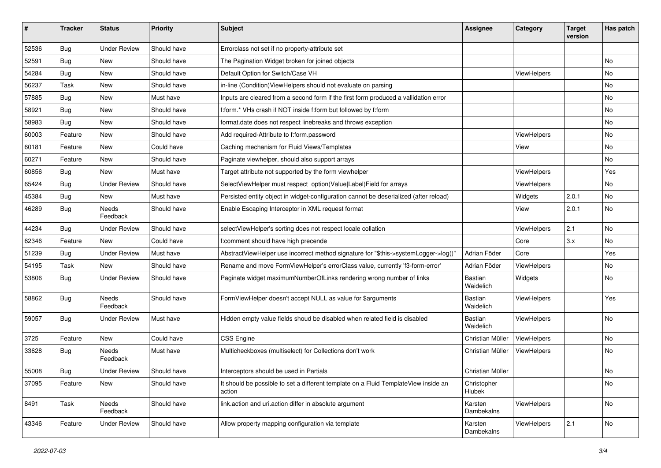| #     | <b>Tracker</b> | <b>Status</b>            | <b>Priority</b> | <b>Subject</b>                                                                                | <b>Assignee</b>       | Category    | <b>Target</b><br>version | Has patch |
|-------|----------------|--------------------------|-----------------|-----------------------------------------------------------------------------------------------|-----------------------|-------------|--------------------------|-----------|
| 52536 | Bug            | <b>Under Review</b>      | Should have     | Errorclass not set if no property-attribute set                                               |                       |             |                          |           |
| 52591 | Bug            | New                      | Should have     | The Pagination Widget broken for joined objects                                               |                       |             |                          | No        |
| 54284 | Bug            | New                      | Should have     | Default Option for Switch/Case VH                                                             |                       | ViewHelpers |                          | No        |
| 56237 | Task           | New                      | Should have     | in-line (Condition) View Helpers should not evaluate on parsing                               |                       |             |                          | No        |
| 57885 | Bug            | New                      | Must have       | Inputs are cleared from a second form if the first form produced a vallidation error          |                       |             |                          | No        |
| 58921 | Bug            | New                      | Should have     | f:form.* VHs crash if NOT inside f:form but followed by f:form                                |                       |             |                          | No        |
| 58983 | Bug            | New                      | Should have     | format.date does not respect linebreaks and throws exception                                  |                       |             |                          | No        |
| 60003 | Feature        | New                      | Should have     | Add required-Attribute to f:form.password                                                     |                       | ViewHelpers |                          | No        |
| 60181 | Feature        | New                      | Could have      | Caching mechanism for Fluid Views/Templates                                                   |                       | View        |                          | No        |
| 60271 | Feature        | New                      | Should have     | Paginate viewhelper, should also support arrays                                               |                       |             |                          | No        |
| 60856 | Bug            | New                      | Must have       | Target attribute not supported by the form viewhelper                                         |                       | ViewHelpers |                          | Yes       |
| 65424 | Bug            | <b>Under Review</b>      | Should have     | SelectViewHelper must respect option(Value Label)Field for arrays                             |                       | ViewHelpers |                          | No        |
| 45384 | Bug            | New                      | Must have       | Persisted entity object in widget-configuration cannot be deserialized (after reload)         |                       | Widgets     | 2.0.1                    | No        |
| 46289 | Bug            | <b>Needs</b><br>Feedback | Should have     | Enable Escaping Interceptor in XML request format                                             |                       | View        | 2.0.1                    | No        |
| 44234 | Bug            | <b>Under Review</b>      | Should have     | selectViewHelper's sorting does not respect locale collation                                  |                       | ViewHelpers | 2.1                      | No        |
| 62346 | Feature        | <b>New</b>               | Could have      | f:comment should have high precende                                                           |                       | Core        | 3.x                      | No        |
| 51239 | Bug            | <b>Under Review</b>      | Must have       | AbstractViewHelper use incorrect method signature for "\$this->systemLogger->log()"           | Adrian Föder          | Core        |                          | Yes       |
| 54195 | Task           | New                      | Should have     | Rename and move FormViewHelper's errorClass value, currently 'f3-form-error'                  | Adrian Föder          | ViewHelpers |                          | No        |
| 53806 | Bug            | Under Review             | Should have     | Paginate widget maximumNumberOfLinks rendering wrong number of links                          | Bastian<br>Waidelich  | Widgets     |                          | No        |
| 58862 | Bug            | <b>Needs</b><br>Feedback | Should have     | FormViewHelper doesn't accept NULL as value for \$arguments                                   | Bastian<br>Waidelich  | ViewHelpers |                          | Yes       |
| 59057 | Bug            | Under Review             | Must have       | Hidden empty value fields shoud be disabled when related field is disabled                    | Bastian<br>Waidelich  | ViewHelpers |                          | No        |
| 3725  | Feature        | New                      | Could have      | CSS Engine                                                                                    | Christian Müller      | ViewHelpers |                          | No        |
| 33628 | Bug            | Needs<br>Feedback        | Must have       | Multicheckboxes (multiselect) for Collections don't work                                      | Christian Müller      | ViewHelpers |                          | No        |
| 55008 | <b>Bug</b>     | Under Review             | Should have     | Interceptors should be used in Partials                                                       | Christian Müller      |             |                          | No        |
| 37095 | Feature        | New                      | Should have     | It should be possible to set a different template on a Fluid TemplateView inside an<br>action | Christopher<br>Hlubek |             |                          | No        |
| 8491  | Task           | Needs<br>Feedback        | Should have     | link.action and uri.action differ in absolute argument                                        | Karsten<br>Dambekalns | ViewHelpers |                          | No        |
| 43346 | Feature        | <b>Under Review</b>      | Should have     | Allow property mapping configuration via template                                             | Karsten<br>Dambekalns | ViewHelpers | 2.1                      | No        |